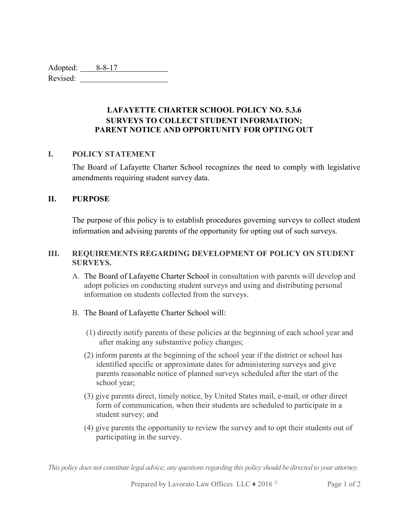Adopted: 8-8-17 Revised:

> LAFAYETTE CHARTER SCHOOL POLICY NO. 5.3.6 SURVEYS TO COLLECT STUDENT INFORMATION; PARENT NOTICE AND OPPORTUNITY FOR OPTING OUT

## I. POLICY STATEMENT

The Board of Lafayette Charter School recognizes the need to comply with legislative amendments requiring student survey data.

## II. PURPOSE

The purpose of this policy is to establish procedures governing surveys to collect student information and advising parents of the opportunity for opting out of such surveys.

## III. REQUIREMENTS REGARDING DEVELOPMENT OF POLICY ON STUDENT SURVEYS.

A. The Board of Lafayette Charter School in consultation with parents will develop and adopt policies on conducting student surveys and using and distributing personal information on students collected from the surveys.

## B. The Board of Lafayette Charter School will:

- (1) directly notify parents of these policies at the beginning of each school year and after making any substantive policy changes;
- (2) inform parents at the beginning of the school year if the district or school has identified specific or approximate dates for administering surveys and give parents reasonable notice of planned surveys scheduled after the start of the school year;
- (3) give parents direct, timely notice, by United States mail, e-mail, or other direct form of communication, when their students are scheduled to participate in a student survey; and
- (4) give parents the opportunity to review the survey and to opt their students out of participating in the survey.

This policy does not constitute legal advice; any questions regarding this policy should be directed to your attorney.

Prepared by Lavorato Law Offices LLC ♦ 2016 ©